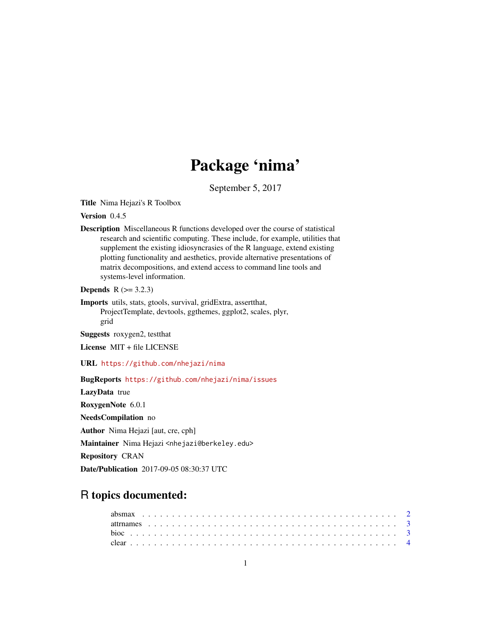# Package 'nima'

September 5, 2017

<span id="page-0-0"></span>Title Nima Hejazi's R Toolbox

Version 0.4.5

Description Miscellaneous R functions developed over the course of statistical research and scientific computing. These include, for example, utilities that supplement the existing idiosyncrasies of the R language, extend existing plotting functionality and aesthetics, provide alternative presentations of matrix decompositions, and extend access to command line tools and systems-level information.

**Depends**  $R$  ( $> = 3.2.3$ )

Imports utils, stats, gtools, survival, gridExtra, assertthat, ProjectTemplate, devtools, ggthemes, ggplot2, scales, plyr, grid

Suggests roxygen2, testthat

License MIT + file LICENSE

URL <https://github.com/nhejazi/nima>

BugReports <https://github.com/nhejazi/nima/issues>

LazyData true

RoxygenNote 6.0.1

NeedsCompilation no

Author Nima Hejazi [aut, cre, cph]

Maintainer Nima Hejazi <nhejazi@berkeley.edu>

Repository CRAN

Date/Publication 2017-09-05 08:30:37 UTC

## R topics documented: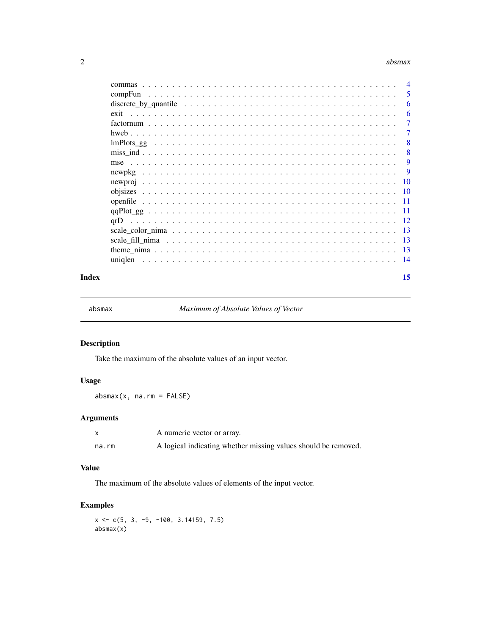#### <span id="page-1-0"></span> $2\overline{a}$  absmax

| commas                                                                                                                                                                                                                                   | $\overline{4}$ |
|------------------------------------------------------------------------------------------------------------------------------------------------------------------------------------------------------------------------------------------|----------------|
| compFun<br>and a constitution of the contract of the construction of the construction of the construction of the construction of the construction of the construction of the construction of the construction of the construction of the | 5              |
|                                                                                                                                                                                                                                          | 6              |
|                                                                                                                                                                                                                                          | 6              |
|                                                                                                                                                                                                                                          | 7              |
|                                                                                                                                                                                                                                          | 7              |
|                                                                                                                                                                                                                                          | 8              |
|                                                                                                                                                                                                                                          | 8              |
|                                                                                                                                                                                                                                          | 9              |
| newpkg                                                                                                                                                                                                                                   | 9              |
|                                                                                                                                                                                                                                          | <b>10</b>      |
|                                                                                                                                                                                                                                          | - 10           |
|                                                                                                                                                                                                                                          | -11            |
|                                                                                                                                                                                                                                          | -11            |
| arD.                                                                                                                                                                                                                                     | - 12           |
|                                                                                                                                                                                                                                          | -13            |
|                                                                                                                                                                                                                                          | -13            |
|                                                                                                                                                                                                                                          | -13            |
| uniglen                                                                                                                                                                                                                                  | -14            |
|                                                                                                                                                                                                                                          |                |

#### **Index** [15](#page-14-0)

absmax *Maximum of Absolute Values of Vector*

#### Description

Take the maximum of the absolute values of an input vector.

### Usage

absmax(x, na.rm = FALSE)

#### Arguments

|       | A numeric vector or array.                                     |
|-------|----------------------------------------------------------------|
| na.rm | A logical indicating whether missing values should be removed. |

#### Value

The maximum of the absolute values of elements of the input vector.

#### Examples

 $x \leq -c(5, 3, -9, -100, 3.14159, 7.5)$ absmax(x)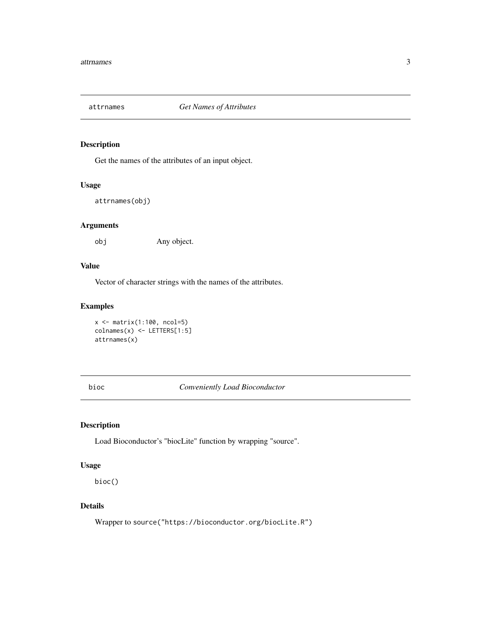<span id="page-2-0"></span>

Get the names of the attributes of an input object.

#### Usage

```
attrnames(obj)
```
#### Arguments

obj Any object.

#### Value

Vector of character strings with the names of the attributes.

#### Examples

 $x \leftarrow \text{matrix}(1:100, \text{ncol}=5)$ colnames(x) <- LETTERS[1:5] attrnames(x)

bioc *Conveniently Load Bioconductor*

#### Description

Load Bioconductor's "biocLite" function by wrapping "source".

#### Usage

bioc()

#### Details

Wrapper to source("https://bioconductor.org/biocLite.R")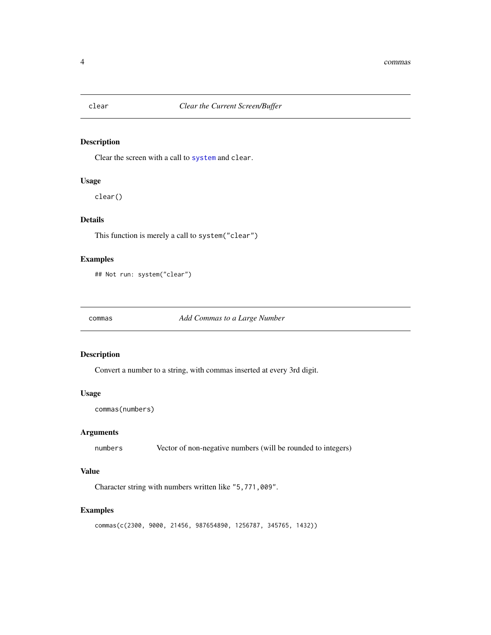<span id="page-3-0"></span>

Clear the screen with a call to [system](#page-0-0) and clear.

#### Usage

clear()

#### Details

This function is merely a call to system("clear")

#### Examples

## Not run: system("clear")

commas *Add Commas to a Large Number*

#### Description

Convert a number to a string, with commas inserted at every 3rd digit.

#### Usage

```
commas(numbers)
```
#### Arguments

numbers Vector of non-negative numbers (will be rounded to integers)

#### Value

Character string with numbers written like "5,771,009".

```
commas(c(2300, 9000, 21456, 987654890, 1256787, 345765, 1432))
```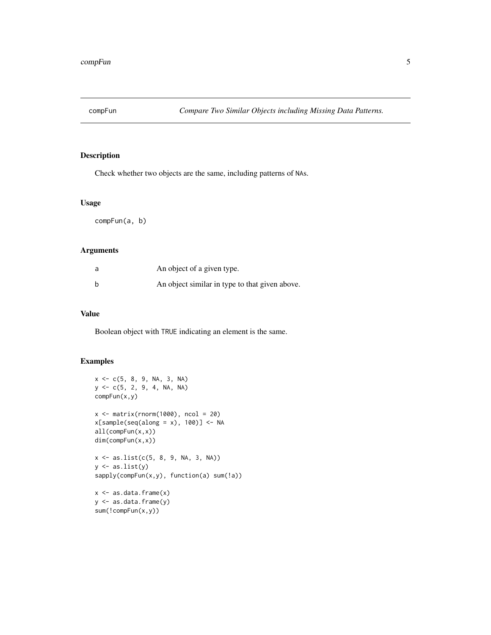<span id="page-4-0"></span>

Check whether two objects are the same, including patterns of NAs.

#### Usage

compFun(a, b)

#### Arguments

| a | An object of a given type.                     |
|---|------------------------------------------------|
| b | An object similar in type to that given above. |

#### Value

Boolean object with TRUE indicating an element is the same.

```
x \leq -c(5, 8, 9, NA, 3, NA)y <- c(5, 2, 9, 4, NA, NA)
compFun(x,y)
x \le matrix(rnorm(1000), ncol = 20)
x[sample(seq(along = x), 100)] \leftarrow NAall(compFun(x,x))
dim(compFun(x,x))
x \le - as.list(c(5, 8, 9, NA, 3, NA))
y \leftarrow as,list(y)sapply(compFun(x,y), function(a) sum(!a))
x \leftarrow as.data frame(x)y <- as.data.frame(y)
```

```
sum(!compFun(x,y))
```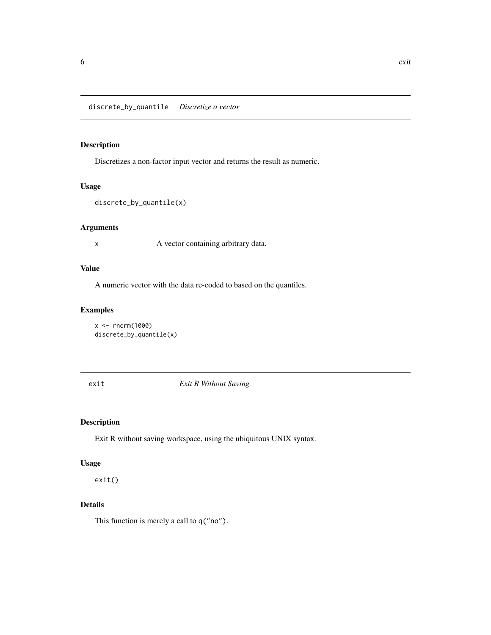<span id="page-5-0"></span>discrete\_by\_quantile *Discretize a vector*

#### Description

Discretizes a non-factor input vector and returns the result as numeric.

#### Usage

```
discrete_by_quantile(x)
```
#### Arguments

x A vector containing arbitrary data.

#### Value

A numeric vector with the data re-coded to based on the quantiles.

#### Examples

```
x < - rnorm(1000)
discrete_by_quantile(x)
```
exit *Exit R Without Saving*

#### Description

Exit R without saving workspace, using the ubiquitous UNIX syntax.

#### Usage

exit()

#### Details

This function is merely a call to q("no").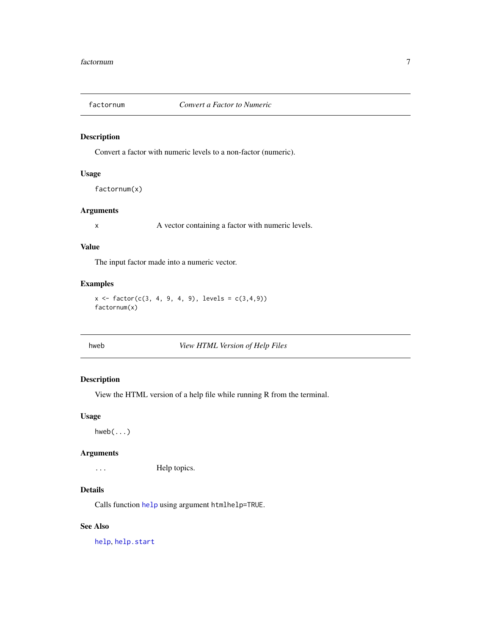<span id="page-6-0"></span>

Convert a factor with numeric levels to a non-factor (numeric).

#### Usage

factornum(x)

#### Arguments

x A vector containing a factor with numeric levels.

#### Value

The input factor made into a numeric vector.

#### Examples

```
x \le factor(c(3, 4, 9, 4, 9), levels = c(3,4,9))
factornum(x)
```
hweb *View HTML Version of Help Files*

#### Description

View the HTML version of a help file while running R from the terminal.

#### Usage

 $hweb(...)$ 

#### Arguments

... Help topics.

#### Details

Calls function [help](#page-0-0) using argument htmlhelp=TRUE.

#### See Also

[help](#page-0-0), [help.start](#page-0-0)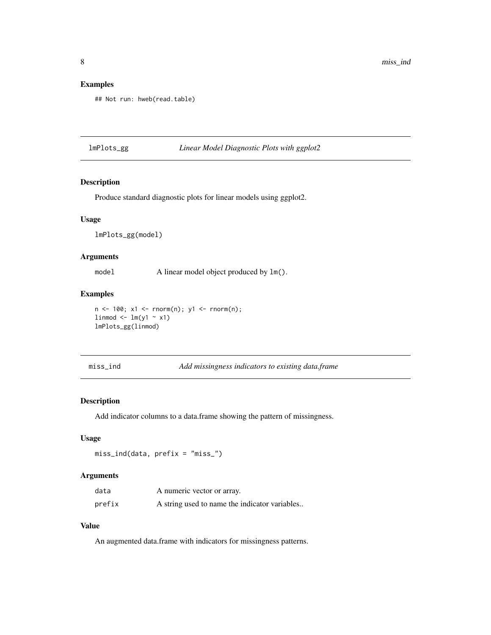#### <span id="page-7-0"></span>Examples

```
## Not run: hweb(read.table)
```
#### lmPlots\_gg *Linear Model Diagnostic Plots with ggplot2*

#### Description

Produce standard diagnostic plots for linear models using ggplot2.

#### Usage

lmPlots\_gg(model)

#### Arguments

model A linear model object produced by  $lm()$ .

#### Examples

n <- 100; x1 <- rnorm(n); y1 <- rnorm(n);  $limmod \leftarrow lm(y1 \sim x1)$ lmPlots\_gg(linmod)

```
miss_ind Add missingness indicators to existing data.frame
```
#### Description

Add indicator columns to a data.frame showing the pattern of missingness.

#### Usage

miss\_ind(data, prefix = "miss\_")

#### Arguments

| data   | A numeric vector or array.                    |
|--------|-----------------------------------------------|
| prefix | A string used to name the indicator variables |

## Value

An augmented data.frame with indicators for missingness patterns.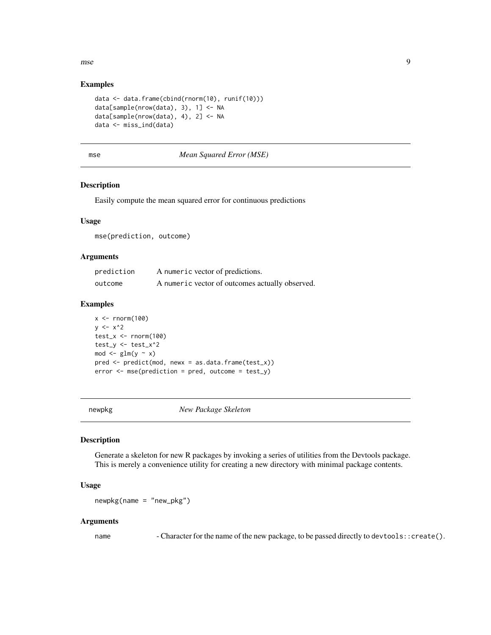<span id="page-8-0"></span>mse 1996 begin het die 19de eeu n.C. in die 19de eeu n.C. Soos ander die 19de eeu n.C. 19de eeu n.C. 19de eeu n.C. 19de eeu n.C. 19de eeu n.C. 19de eeu n.C. 19de eeu n.C. 19de eeu n.C. 19de eeu n.C. 19de eeu n.C. 19de eeu

#### Examples

```
data <- data.frame(cbind(rnorm(10), runif(10)))
data[sample(nrow(data), 3), 1] <- NA
data[sample(nrow(data), 4), 2] <- NA
data <- miss_ind(data)
```
#### mse *Mean Squared Error (MSE)*

#### Description

Easily compute the mean squared error for continuous predictions

#### Usage

mse(prediction, outcome)

#### Arguments

| prediction | A numeric vector of predictions.                |
|------------|-------------------------------------------------|
| outcome    | A numeric vector of outcomes actually observed. |

#### Examples

```
x < - rnorm(100)
y \le -x^2test_x < -rnorm(100)test_y <- test_x^2
mod \leftarrow glm(y \sim x)
pred <- predict(mod, newx = as.data.frame(test_x))
error < - mse(prediction = pred, outcome = test_y)
```
newpkg *New Package Skeleton*

#### Description

Generate a skeleton for new R packages by invoking a series of utilities from the Devtools package. This is merely a convenience utility for creating a new directory with minimal package contents.

#### Usage

 $newpkg(name = "new_pkg")$ 

#### Arguments

name - Character for the name of the new package, to be passed directly to devtools::create().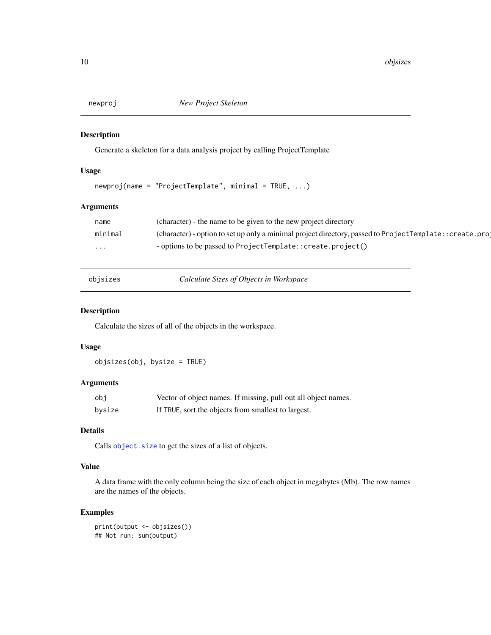<span id="page-9-0"></span>

Generate a skeleton for a data analysis project by calling ProjectTemplate

#### Usage

 $newproj(name = "ProjectTemplate", minimal = TRUE, ...)$ 

#### Arguments

| name     | (character) - the name to be given to the new project directory                                          |
|----------|----------------------------------------------------------------------------------------------------------|
| minimal  | (character) - option to set up only a minimal project directory, passed to ProjectTemplate:: create.proj |
| $\cdots$ | - options to be passed to ProjectTemplate:: create.project()                                             |

| obisizes |  |  |  |  |
|----------|--|--|--|--|
|          |  |  |  |  |

objsizes *Calculate Sizes of Objects in Workspace*

#### Description

Calculate the sizes of all of the objects in the workspace.

#### Usage

objsizes(obj, bysize = TRUE)

#### Arguments

| obi    | Vector of object names. If missing, pull out all object names. |
|--------|----------------------------------------------------------------|
| bysize | If TRUE, sort the objects from smallest to largest.            |

#### Details

Calls [object.size](#page-0-0) to get the sizes of a list of objects.

#### Value

A data frame with the only column being the size of each object in megabytes (Mb). The row names are the names of the objects.

```
print(output <- objsizes())
## Not run: sum(output)
```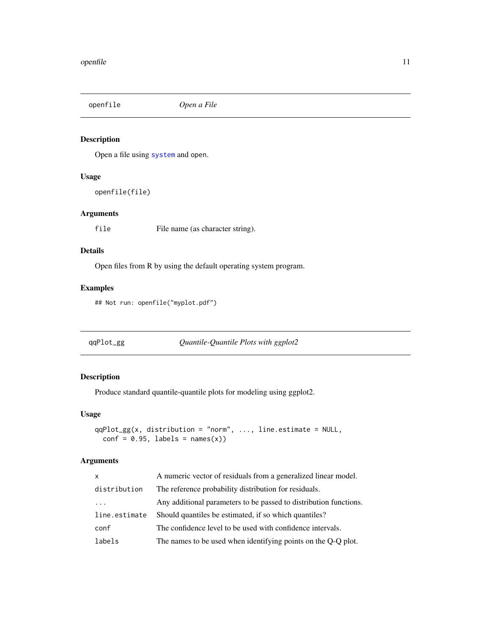<span id="page-10-0"></span>

Open a file using [system](#page-0-0) and open.

#### Usage

openfile(file)

#### Arguments

file File name (as character string).

#### Details

Open files from R by using the default operating system program.

#### Examples

## Not run: openfile("myplot.pdf")

qqPlot\_gg *Quantile-Quantile Plots with ggplot2*

#### Description

Produce standard quantile-quantile plots for modeling using ggplot2.

#### Usage

```
qqPlot_gg(x, distribution = "norm", ..., line.estimate = NULL,conf = 0.95, labels = names(x))
```
#### Arguments

| $\mathsf{x}$  | A numeric vector of residuals from a generalized linear model.    |
|---------------|-------------------------------------------------------------------|
| distribution  | The reference probability distribution for residuals.             |
| $\cdot$       | Any additional parameters to be passed to distribution functions. |
| line.estimate | Should quantiles be estimated, if so which quantiles?             |
| conf          | The confidence level to be used with confidence intervals.        |
| labels        | The names to be used when identifying points on the Q-Q plot.     |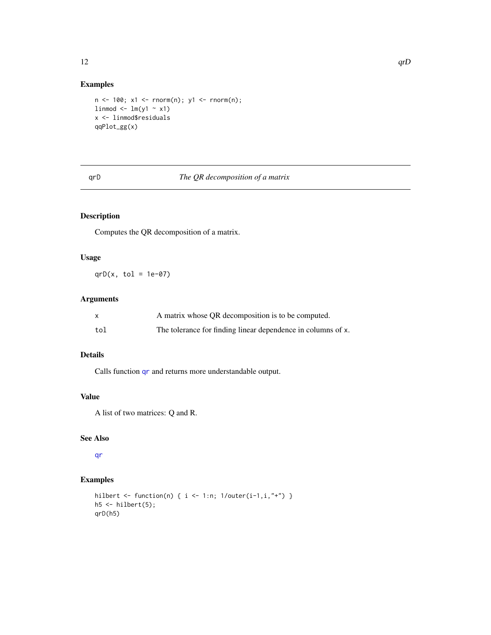#### Examples

```
n \le -100; x1 \le -rnorm(n); y1 \le -rnorm(n);
limmod \leftarrow lm(y1 \sim x1)x <- linmod$residuals
qqPlot_gg(x)
```
#### qrD *The QR decomposition of a matrix*

#### Description

Computes the QR decomposition of a matrix.

#### Usage

 $qrD(x, tol = 1e-07)$ 

#### Arguments

|     | A matrix whose QR decomposition is to be computed.           |
|-----|--------------------------------------------------------------|
| tol | The tolerance for finding linear dependence in columns of x. |

#### Details

Calls function [qr](#page-0-0) and returns more understandable output.

#### Value

A list of two matrices: Q and R.

#### See Also

[qr](#page-0-0)

#### Examples

```
hilbert <- function(n) { i <- 1:n; 1/outer(i-1,i,"+") }
h5 \leftarrow hilbert(5);qrD(h5)
```
<span id="page-11-0"></span> $12$  and  $q$ rD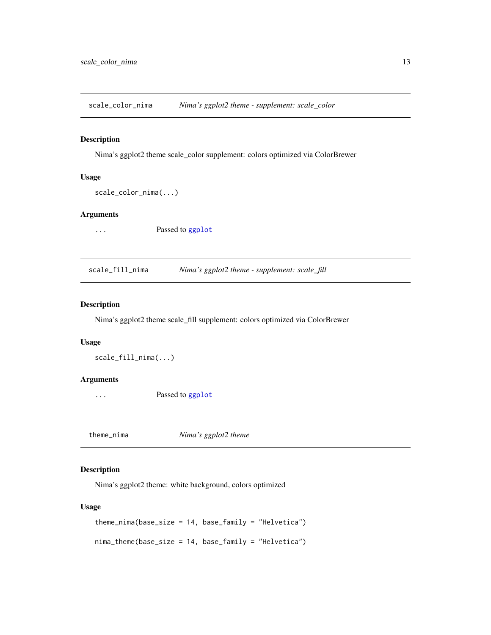<span id="page-12-0"></span>scale\_color\_nima *Nima's ggplot2 theme - supplement: scale\_color*

#### Description

Nima's ggplot2 theme scale\_color supplement: colors optimized via ColorBrewer

#### Usage

```
scale_color_nima(...)
```
#### Arguments

... **Passed to [ggplot](#page-0-0)** 

scale\_fill\_nima *Nima's ggplot2 theme - supplement: scale\_fill*

#### Description

Nima's ggplot2 theme scale\_fill supplement: colors optimized via ColorBrewer

#### Usage

scale\_fill\_nima(...)

#### Arguments

... **Passed to [ggplot](#page-0-0)** 

theme\_nima *Nima's ggplot2 theme*

#### Description

Nima's ggplot2 theme: white background, colors optimized

#### Usage

```
theme_nima(base_size = 14, base_family = "Helvetica")
nima_theme(base_size = 14, base_family = "Helvetica")
```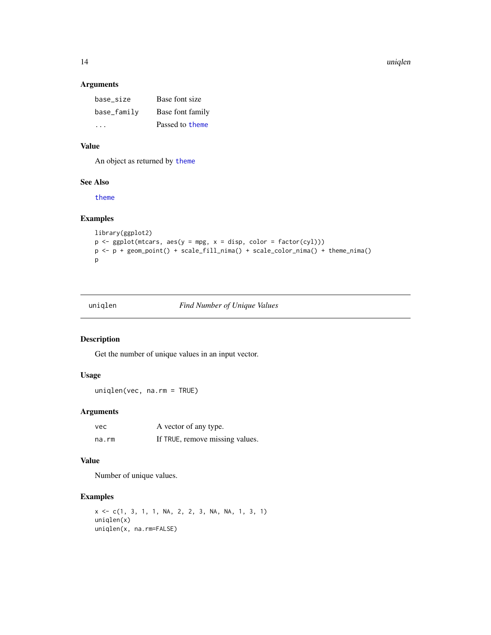#### <span id="page-13-0"></span>14 uniqlen

#### Arguments

| base size     | Base font size   |
|---------------|------------------|
| base_family   | Base font family |
| $\sim$ $\sim$ | Passed to theme  |

#### Value

An object as returned by [theme](#page-0-0)

#### See Also

[theme](#page-0-0)

#### Examples

```
library(ggplot2)
p \leftarrow \text{ggplot}(\text{mtcars}, \text{aes}(y = \text{mpg}, x = \text{disp}, \text{ color} = \text{factor}(cyl)))p <- p + geom_point() + scale_fill_nima() + scale_color_nima() + theme_nima()
p
```

| uniglen |  |  |
|---------|--|--|
|         |  |  |

#### **Find Number of Unique Values**

#### Description

Get the number of unique values in an input vector.

#### Usage

uniqlen(vec, na.rm = TRUE)

#### Arguments

| vec   | A vector of any type.           |
|-------|---------------------------------|
| na.rm | If TRUE, remove missing values. |

#### Value

Number of unique values.

```
x <- c(1, 3, 1, 1, NA, 2, 2, 3, NA, NA, 1, 3, 1)
uniqlen(x)
uniqlen(x, na.rm=FALSE)
```